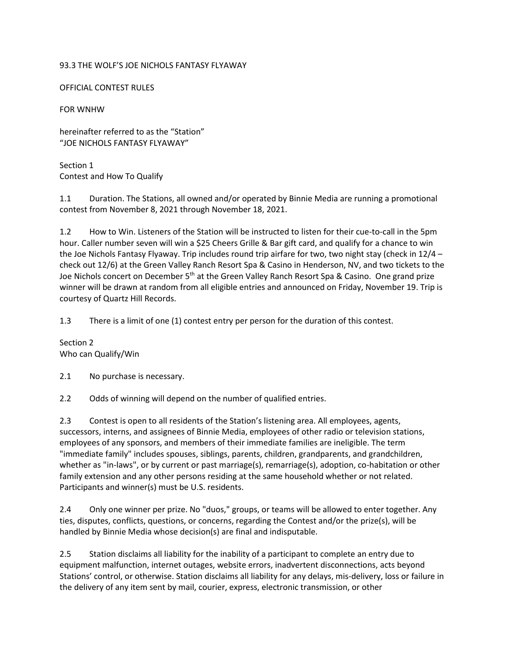#### 93.3 THE WOLF'S JOE NICHOLS FANTASY FLYAWAY

OFFICIAL CONTEST RULES

FOR WNHW

hereinafter referred to as the "Station" "JOE NICHOLS FANTASY FLYAWAY"

Section 1 Contest and How To Qualify

1.1 Duration. The Stations, all owned and/or operated by Binnie Media are running a promotional contest from November 8, 2021 through November 18, 2021.

1.2 How to Win. Listeners of the Station will be instructed to listen for their cue-to-call in the 5pm hour. Caller number seven will win a \$25 Cheers Grille & Bar gift card, and qualify for a chance to win the Joe Nichols Fantasy Flyaway. Trip includes round trip airfare for two, two night stay (check in 12/4 – check out 12/6) at the Green Valley Ranch Resort Spa & Casino in Henderson, NV, and two tickets to the Joe Nichols concert on December 5<sup>th</sup> at the Green Valley Ranch Resort Spa & Casino. One grand prize winner will be drawn at random from all eligible entries and announced on Friday, November 19. Trip is courtesy of Quartz Hill Records.

1.3 There is a limit of one (1) contest entry per person for the duration of this contest.

Section 2 Who can Qualify/Win

2.1 No purchase is necessary.

2.2 Odds of winning will depend on the number of qualified entries.

2.3 Contest is open to all residents of the Station's listening area. All employees, agents, successors, interns, and assignees of Binnie Media, employees of other radio or television stations, employees of any sponsors, and members of their immediate families are ineligible. The term "immediate family" includes spouses, siblings, parents, children, grandparents, and grandchildren, whether as "in-laws", or by current or past marriage(s), remarriage(s), adoption, co-habitation or other family extension and any other persons residing at the same household whether or not related. Participants and winner(s) must be U.S. residents.

2.4 Only one winner per prize. No "duos," groups, or teams will be allowed to enter together. Any ties, disputes, conflicts, questions, or concerns, regarding the Contest and/or the prize(s), will be handled by Binnie Media whose decision(s) are final and indisputable.

2.5 Station disclaims all liability for the inability of a participant to complete an entry due to equipment malfunction, internet outages, website errors, inadvertent disconnections, acts beyond Stations' control, or otherwise. Station disclaims all liability for any delays, mis-delivery, loss or failure in the delivery of any item sent by mail, courier, express, electronic transmission, or other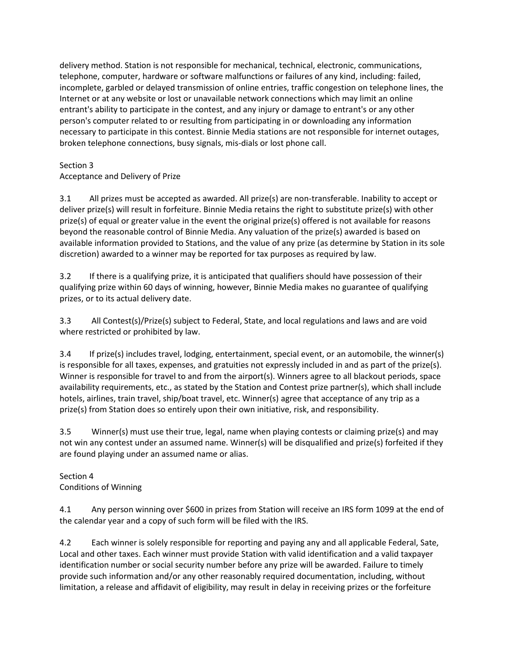delivery method. Station is not responsible for mechanical, technical, electronic, communications, telephone, computer, hardware or software malfunctions or failures of any kind, including: failed, incomplete, garbled or delayed transmission of online entries, traffic congestion on telephone lines, the Internet or at any website or lost or unavailable network connections which may limit an online entrant's ability to participate in the contest, and any injury or damage to entrant's or any other person's computer related to or resulting from participating in or downloading any information necessary to participate in this contest. Binnie Media stations are not responsible for internet outages, broken telephone connections, busy signals, mis-dials or lost phone call.

#### Section 3

# Acceptance and Delivery of Prize

3.1 All prizes must be accepted as awarded. All prize(s) are non-transferable. Inability to accept or deliver prize(s) will result in forfeiture. Binnie Media retains the right to substitute prize(s) with other prize(s) of equal or greater value in the event the original prize(s) offered is not available for reasons beyond the reasonable control of Binnie Media. Any valuation of the prize(s) awarded is based on available information provided to Stations, and the value of any prize (as determine by Station in its sole discretion) awarded to a winner may be reported for tax purposes as required by law.

3.2 If there is a qualifying prize, it is anticipated that qualifiers should have possession of their qualifying prize within 60 days of winning, however, Binnie Media makes no guarantee of qualifying prizes, or to its actual delivery date.

3.3 All Contest(s)/Prize(s) subject to Federal, State, and local regulations and laws and are void where restricted or prohibited by law.

3.4 If prize(s) includes travel, lodging, entertainment, special event, or an automobile, the winner(s) is responsible for all taxes, expenses, and gratuities not expressly included in and as part of the prize(s). Winner is responsible for travel to and from the airport(s). Winners agree to all blackout periods, space availability requirements, etc., as stated by the Station and Contest prize partner(s), which shall include hotels, airlines, train travel, ship/boat travel, etc. Winner(s) agree that acceptance of any trip as a prize(s) from Station does so entirely upon their own initiative, risk, and responsibility.

3.5 Winner(s) must use their true, legal, name when playing contests or claiming prize(s) and may not win any contest under an assumed name. Winner(s) will be disqualified and prize(s) forfeited if they are found playing under an assumed name or alias.

# Section 4 Conditions of Winning

4.1 Any person winning over \$600 in prizes from Station will receive an IRS form 1099 at the end of the calendar year and a copy of such form will be filed with the IRS.

4.2 Each winner is solely responsible for reporting and paying any and all applicable Federal, Sate, Local and other taxes. Each winner must provide Station with valid identification and a valid taxpayer identification number or social security number before any prize will be awarded. Failure to timely provide such information and/or any other reasonably required documentation, including, without limitation, a release and affidavit of eligibility, may result in delay in receiving prizes or the forfeiture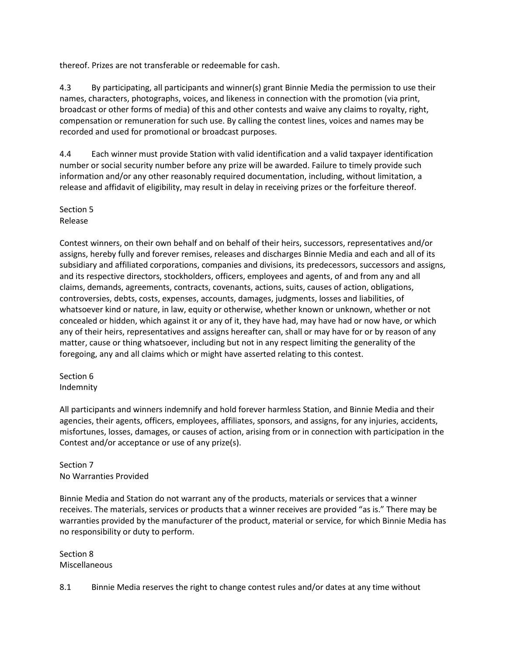thereof. Prizes are not transferable or redeemable for cash.

4.3 By participating, all participants and winner(s) grant Binnie Media the permission to use their names, characters, photographs, voices, and likeness in connection with the promotion (via print, broadcast or other forms of media) of this and other contests and waive any claims to royalty, right, compensation or remuneration for such use. By calling the contest lines, voices and names may be recorded and used for promotional or broadcast purposes.

4.4 Each winner must provide Station with valid identification and a valid taxpayer identification number or social security number before any prize will be awarded. Failure to timely provide such information and/or any other reasonably required documentation, including, without limitation, a release and affidavit of eligibility, may result in delay in receiving prizes or the forfeiture thereof.

Section 5 Release

Contest winners, on their own behalf and on behalf of their heirs, successors, representatives and/or assigns, hereby fully and forever remises, releases and discharges Binnie Media and each and all of its subsidiary and affiliated corporations, companies and divisions, its predecessors, successors and assigns, and its respective directors, stockholders, officers, employees and agents, of and from any and all claims, demands, agreements, contracts, covenants, actions, suits, causes of action, obligations, controversies, debts, costs, expenses, accounts, damages, judgments, losses and liabilities, of whatsoever kind or nature, in law, equity or otherwise, whether known or unknown, whether or not concealed or hidden, which against it or any of it, they have had, may have had or now have, or which any of their heirs, representatives and assigns hereafter can, shall or may have for or by reason of any matter, cause or thing whatsoever, including but not in any respect limiting the generality of the foregoing, any and all claims which or might have asserted relating to this contest.

Section 6 Indemnity

All participants and winners indemnify and hold forever harmless Station, and Binnie Media and their agencies, their agents, officers, employees, affiliates, sponsors, and assigns, for any injuries, accidents, misfortunes, losses, damages, or causes of action, arising from or in connection with participation in the Contest and/or acceptance or use of any prize(s).

#### Section 7 No Warranties Provided

Binnie Media and Station do not warrant any of the products, materials or services that a winner receives. The materials, services or products that a winner receives are provided "as is." There may be warranties provided by the manufacturer of the product, material or service, for which Binnie Media has no responsibility or duty to perform.

# Section 8 Miscellaneous

8.1 Binnie Media reserves the right to change contest rules and/or dates at any time without